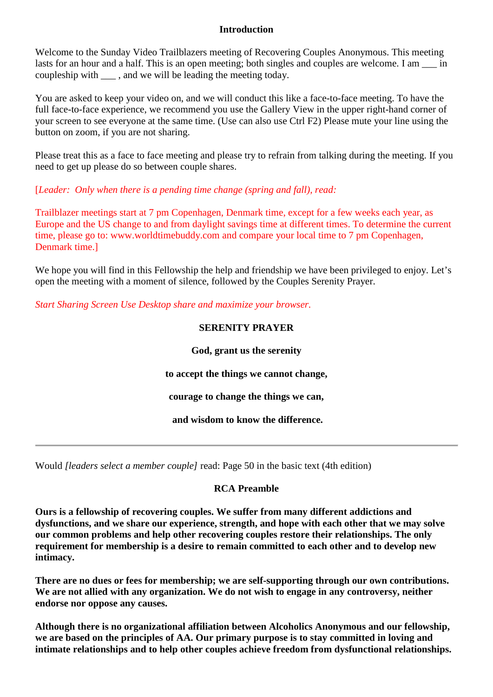#### **Introduction**

Welcome to the Sunday Video Trailblazers meeting of Recovering Couples Anonymous. This meeting lasts for an hour and a half. This is an open meeting; both singles and couples are welcome. I am  $\frac{1}{\sqrt{2}}$  in coupleship with \_\_\_ , and we will be leading the meeting today.

You are asked to keep your video on, and we will conduct this like a face-to-face meeting. To have the full face-to-face experience, we recommend you use the Gallery View in the upper right-hand corner of your screen to see everyone at the same time. (Use can also use Ctrl F2) Please mute your line using the button on zoom, if you are not sharing.

Please treat this as a face to face meeting and please try to refrain from talking during the meeting. If you need to get up please do so between couple shares.

# [*Leader: Only when there is a pending time change (spring and fall), read:*

Trailblazer meetings start at 7 pm Copenhagen, Denmark time, except for a few weeks each year, as Europe and the US change to and from daylight savings time at different times. To determine the current time, please go to: www.worldtimebuddy.com and compare your local time to 7 pm Copenhagen, Denmark time.]

We hope you will find in this Fellowship the help and friendship we have been privileged to enjoy. Let's open the meeting with a moment of silence, followed by the Couples Serenity Prayer.

*Start Sharing Screen Use Desktop share and maximize your browser.*

# **SERENITY PRAYER**

# **God, grant us the serenity**

**to accept the things we cannot change,**

**courage to change the things we can,**

**and wisdom to know the difference.**

Would *[leaders select a member couple]* read: Page 50 in the basic text (4th edition)

## **RCA Preamble**

**Ours is a fellowship of recovering couples. We suffer from many different addictions and dysfunctions, and we share our experience, strength, and hope with each other that we may solve our common problems and help other recovering couples restore their relationships. The only requirement for membership is a desire to remain committed to each other and to develop new intimacy.**

**There are no dues or fees for membership; we are self-supporting through our own contributions. We are not allied with any organization. We do not wish to engage in any controversy, neither endorse nor oppose any causes.** 

**Although there is no organizational affiliation between Alcoholics Anonymous and our fellowship, we are based on the principles of AA. Our primary purpose is to stay committed in loving and intimate relationships and to help other couples achieve freedom from dysfunctional relationships.**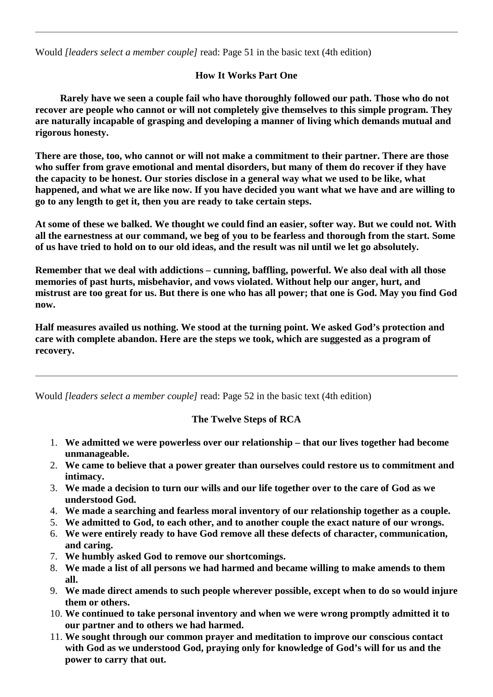Would *[leaders select a member couple]* read: Page 51 in the basic text (4th edition)

# **How It Works Part One**

 **Rarely have we seen a couple fail who have thoroughly followed our path. Those who do not recover are people who cannot or will not completely give themselves to this simple program. They are naturally incapable of grasping and developing a manner of living which demands mutual and rigorous honesty.** 

**There are those, too, who cannot or will not make a commitment to their partner. There are those who suffer from grave emotional and mental disorders, but many of them do recover if they have the capacity to be honest. Our stories disclose in a general way what we used to be like, what happened, and what we are like now. If you have decided you want what we have and are willing to go to any length to get it, then you are ready to take certain steps.**

**At some of these we balked. We thought we could find an easier, softer way. But we could not. With all the earnestness at our command, we beg of you to be fearless and thorough from the start. Some of us have tried to hold on to our old ideas, and the result was nil until we let go absolutely.**

**Remember that we deal with addictions – cunning, baffling, powerful. We also deal with all those memories of past hurts, misbehavior, and vows violated. Without help our anger, hurt, and mistrust are too great for us. But there is one who has all power; that one is God. May you find God now.**

**Half measures availed us nothing. We stood at the turning point. We asked God's protection and care with complete abandon. Here are the steps we took, which are suggested as a program of recovery.**

Would *[leaders select a member couple]* read: Page 52 in the basic text (4th edition)

# **The Twelve Steps of RCA**

- 1. **We admitted we were powerless over our relationship – that our lives together had become unmanageable.**
- 2. **We came to believe that a power greater than ourselves could restore us to commitment and intimacy.**
- 3. **We made a decision to turn our wills and our life together over to the care of God as we understood God.**
- 4. **We made a searching and fearless moral inventory of our relationship together as a couple.**
- 5. **We admitted to God, to each other, and to another couple the exact nature of our wrongs.**
- 6. **We were entirely ready to have God remove all these defects of character, communication, and caring.**
- 7. **We humbly asked God to remove our shortcomings.**
- 8. **We made a list of all persons we had harmed and became willing to make amends to them all.**
- 9. **We made direct amends to such people wherever possible, except when to do so would injure them or others.**
- 10. **We continued to take personal inventory and when we were wrong promptly admitted it to our partner and to others we had harmed.**
- 11. **We sought through our common prayer and meditation to improve our conscious contact with God as we understood God, praying only for knowledge of God's will for us and the power to carry that out.**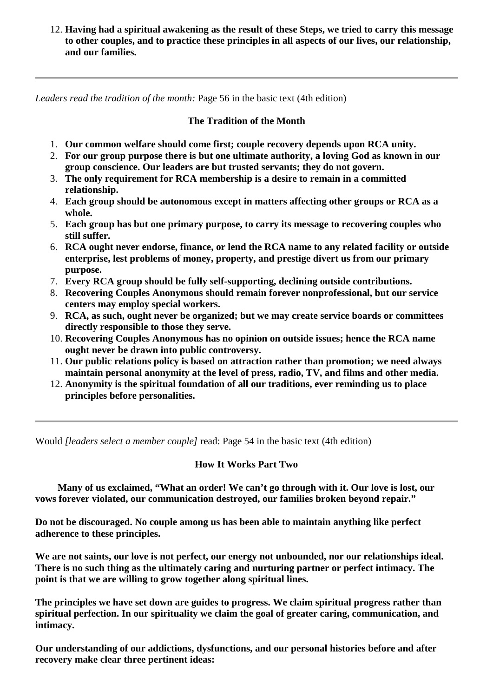12. **Having had a spiritual awakening as the result of these Steps, we tried to carry this message to other couples, and to practice these principles in all aspects of our lives, our relationship, and our families.**

*Leaders read the tradition of the month:* Page 56 in the basic text (4th edition)

#### **The Tradition of the Month**

- 1. **Our common welfare should come first; couple recovery depends upon RCA unity.**
- 2. **For our group purpose there is but one ultimate authority, a loving God as known in our group conscience. Our leaders are but trusted servants; they do not govern.**
- 3. **The only requirement for RCA membership is a desire to remain in a committed relationship.**
- 4. **Each group should be autonomous except in matters affecting other groups or RCA as a whole.**
- 5. **Each group has but one primary purpose, to carry its message to recovering couples who still suffer.**
- 6. **RCA ought never endorse, finance, or lend the RCA name to any related facility or outside enterprise, lest problems of money, property, and prestige divert us from our primary purpose.**
- 7. **Every RCA group should be fully self-supporting, declining outside contributions.**
- 8. **Recovering Couples Anonymous should remain forever nonprofessional, but our service centers may employ special workers.**
- 9. **RCA, as such, ought never be organized; but we may create service boards or committees directly responsible to those they serve.**
- 10. **Recovering Couples Anonymous has no opinion on outside issues; hence the RCA name ought never be drawn into public controversy.**
- 11. **Our public relations policy is based on attraction rather than promotion; we need always maintain personal anonymity at the level of press, radio, TV, and films and other media.**
- 12. **Anonymity is the spiritual foundation of all our traditions, ever reminding us to place principles before personalities.**

Would *[leaders select a member couple]* read: Page 54 in the basic text (4th edition)

#### **How It Works Part Two**

 **Many of us exclaimed, "What an order! We can't go through with it. Our love is lost, our vows forever violated, our communication destroyed, our families broken beyond repair."** 

**Do not be discouraged. No couple among us has been able to maintain anything like perfect adherence to these principles.**

**We are not saints, our love is not perfect, our energy not unbounded, nor our relationships ideal. There is no such thing as the ultimately caring and nurturing partner or perfect intimacy. The point is that we are willing to grow together along spiritual lines.** 

**The principles we have set down are guides to progress. We claim spiritual progress rather than spiritual perfection. In our spirituality we claim the goal of greater caring, communication, and intimacy.**

**Our understanding of our addictions, dysfunctions, and our personal histories before and after recovery make clear three pertinent ideas:**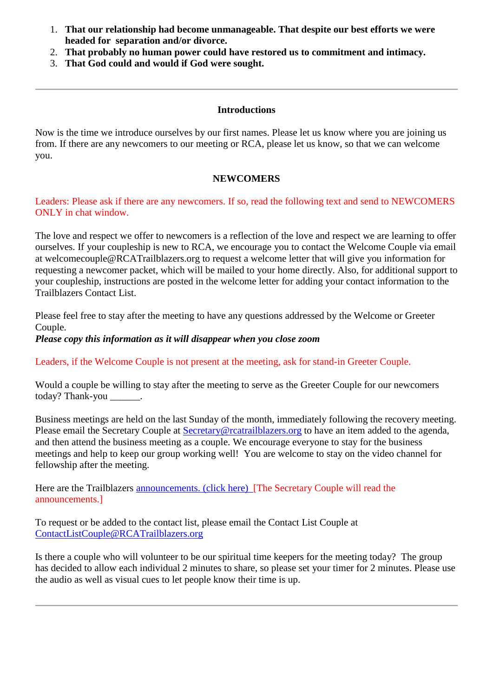- 1. **That our relationship had become unmanageable. That despite our best efforts we were headed for separation and/or divorce.**
- 2. **That probably no human power could have restored us to commitment and intimacy.**
- 3. **That God could and would if God were sought.**

## **Introductions**

Now is the time we introduce ourselves by our first names. Please let us know where you are joining us from. If there are any newcomers to our meeting or RCA, please let us know, so that we can welcome you.

### **NEWCOMERS**

Leaders: Please ask if there are any newcomers. If so, read the following text and send to NEWCOMERS ONLY in chat window.

The love and respect we offer to newcomers is a reflection of the love and respect we are learning to offer ourselves. If your coupleship is new to RCA, we encourage you to contact the Welcome Couple via email at welcomecouple@RCATrailblazers.org to request a welcome letter that will give you information for requesting a newcomer packet, which will be mailed to your home directly. Also, for additional support to your coupleship, instructions are posted in the welcome letter for adding your contact information to the Trailblazers Contact List.

Please feel free to stay after the meeting to have any questions addressed by the Welcome or Greeter Couple.

#### *Please copy this information as it will disappear when you close zoom*

Leaders, if the Welcome Couple is not present at the meeting, ask for stand-in Greeter Couple.

Would a couple be willing to stay after the meeting to serve as the Greeter Couple for our newcomers today? Thank-you \_\_\_\_\_\_.

Business meetings are held on the last Sunday of the month, immediately following the recovery meeting. Please email the Secretary Couple at [Secretary@rcatrailblazers.org](mailto:Secretary@rcatrailblazers.org) to have an item added to the agenda, and then attend the business meeting as a couple. We encourage everyone to stay for the business meetings and help to keep our group working well! You are welcome to stay on the video channel for fellowship after the meeting.

Here are the Trailblazers [announcements. \(click here\)](http://rcatrailblazers.org/blog/announcements/) [The Secretary Couple will read the announcements.]

To request or be added to the contact list, please email the Contact List Couple at [ContactListCouple@RCATrailblazers.org](mailto:ContactListCouple@RCATrailblazers.org)

Is there a couple who will volunteer to be our spiritual time keepers for the meeting today? The group has decided to allow each individual 2 minutes to share, so please set your timer for 2 minutes. Please use the audio as well as visual cues to let people know their time is up.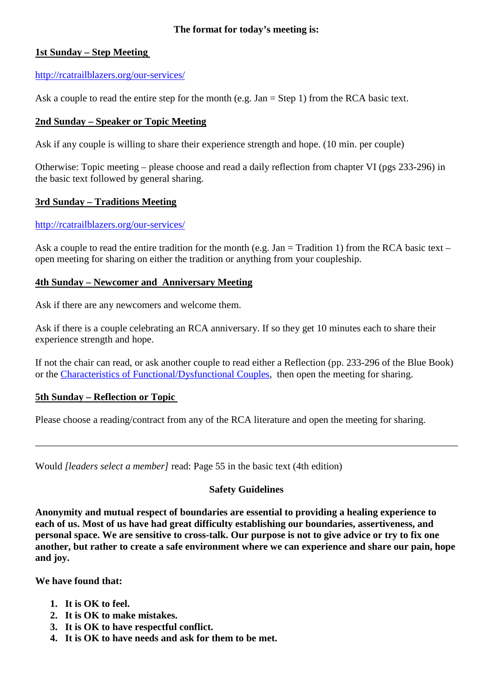### **The format for today's meeting is:**

## **1st Sunday – Step Meeting**

### <http://rcatrailblazers.org/our-services/>

Ask a couple to read the entire step for the month (e.g.  $Jan = Step 1$ ) from the RCA basic text.

### **2nd Sunday – Speaker or Topic Meeting**

Ask if any couple is willing to share their experience strength and hope. (10 min. per couple)

Otherwise: Topic meeting – please choose and read a daily reflection from chapter VI (pgs 233-296) in the basic text followed by general sharing.

## **3rd Sunday – Traditions Meeting**

### <http://rcatrailblazers.org/our-services/>

Ask a couple to read the entire tradition for the month (e.g. Jan = Tradition 1) from the RCA basic text – open meeting for sharing on either the tradition or anything from your coupleship.

### **4th Sunday – Newcomer and Anniversary Meeting**

Ask if there are any newcomers and welcome them.

Ask if there is a couple celebrating an RCA anniversary. If so they get 10 minutes each to share their experience strength and hope.

If not the chair can read, or ask another couple to read either a Reflection (pp. 233-296 of the Blue Book) or the [Characteristics of Functional/Dysfunctional Couples,](http://rcatrailblazers.org/literature/characteristics/) then open the meeting for sharing.

## **5th Sunday – Reflection or Topic**

Please choose a reading/contract from any of the RCA literature and open the meeting for sharing.

Would *[leaders select a member]* read: Page 55 in the basic text (4th edition)

#### **Safety Guidelines**

**Anonymity and mutual respect of boundaries are essential to providing a healing experience to each of us. Most of us have had great difficulty establishing our boundaries, assertiveness, and personal space. We are sensitive to cross-talk. Our purpose is not to give advice or try to fix one another, but rather to create a safe environment where we can experience and share our pain, hope and joy.**

**We have found that:**

- **1. It is OK to feel.**
- **2. It is OK to make mistakes.**
- **3. It is OK to have respectful conflict.**
- **4. It is OK to have needs and ask for them to be met.**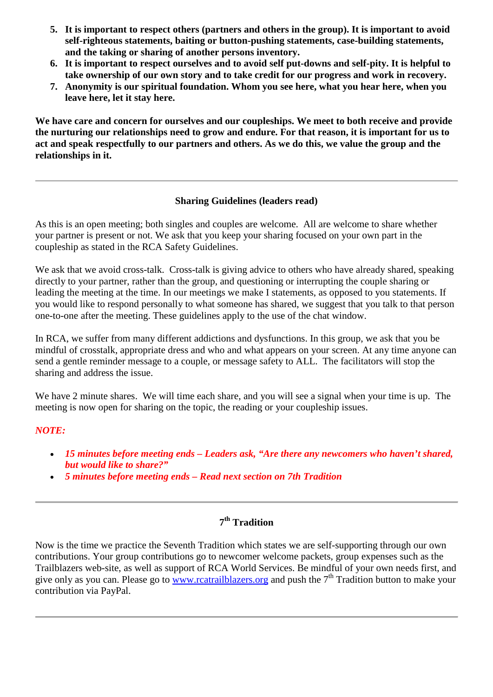- **5. It is important to respect others (partners and others in the group). It is important to avoid self-righteous statements, baiting or button-pushing statements, case-building statements, and the taking or sharing of another persons inventory.**
- **6. It is important to respect ourselves and to avoid self put-downs and self-pity. It is helpful to take ownership of our own story and to take credit for our progress and work in recovery.**
- **7. Anonymity is our spiritual foundation. Whom you see here, what you hear here, when you leave here, let it stay here.**

**We have care and concern for ourselves and our coupleships. We meet to both receive and provide the nurturing our relationships need to grow and endure. For that reason, it is important for us to act and speak respectfully to our partners and others. As we do this, we value the group and the relationships in it.**

## **Sharing Guidelines (leaders read)**

As this is an open meeting; both singles and couples are welcome. All are welcome to share whether your partner is present or not. We ask that you keep your sharing focused on your own part in the coupleship as stated in the RCA Safety Guidelines.

We ask that we avoid cross-talk. Cross-talk is giving advice to others who have already shared, speaking directly to your partner, rather than the group, and questioning or interrupting the couple sharing or leading the meeting at the time. In our meetings we make I statements, as opposed to you statements. If you would like to respond personally to what someone has shared, we suggest that you talk to that person one-to-one after the meeting. These guidelines apply to the use of the chat window.

In RCA, we suffer from many different addictions and dysfunctions. In this group, we ask that you be mindful of crosstalk, appropriate dress and who and what appears on your screen. At any time anyone can send a gentle reminder message to a couple, or message safety to ALL. The facilitators will stop the sharing and address the issue.

We have 2 minute shares. We will time each share, and you will see a signal when your time is up. The meeting is now open for sharing on the topic, the reading or your coupleship issues.

## *NOTE:*

- *15 minutes before meeting ends – Leaders ask, "Are there any newcomers who haven't shared, but would like to share?"*
- *5 minutes before meeting ends – Read next section on 7th Tradition*

## **7th Tradition**

Now is the time we practice the Seventh Tradition which states we are self-supporting through our own contributions. Your group contributions go to newcomer welcome packets, group expenses such as the Trailblazers web-site, as well as support of RCA World Services. Be mindful of your own needs first, and give only as you can. Please go to [www.rcatrailblazers.org](http://www.rcatrailblazers.org/) and push the  $7<sup>th</sup>$  Tradition button to make your contribution via PayPal.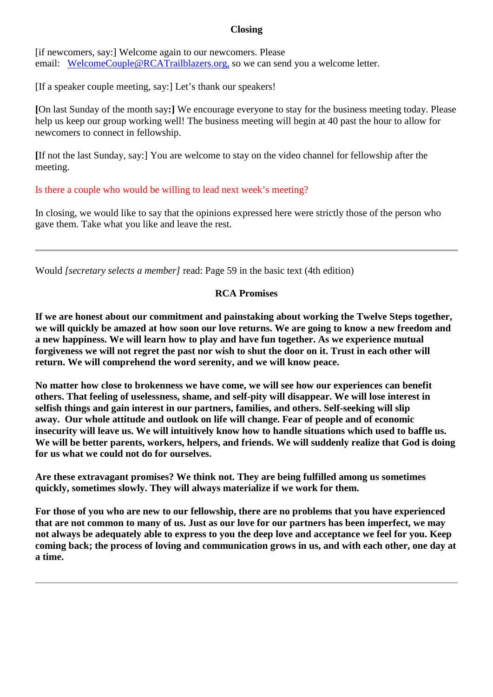## **Closing**

[if newcomers, say:] Welcome again to our newcomers. Please email: [WelcomeCouple@RCATrailblazers.org,](mailto:WelcomeCouple@RCATrailblazers.org?subject=Newcomer%20from%20Trailblazers) so we can send you a welcome letter.

[If a speaker couple meeting, say:] Let's thank our speakers!

**[**On last Sunday of the month say**:]** We encourage everyone to stay for the business meeting today. Please help us keep our group working well! The business meeting will begin at 40 past the hour to allow for newcomers to connect in fellowship.

**[**If not the last Sunday, say:] You are welcome to stay on the video channel for fellowship after the meeting.

Is there a couple who would be willing to lead next week's meeting?

In closing, we would like to say that the opinions expressed here were strictly those of the person who gave them. Take what you like and leave the rest.

Would *[secretary selects a member]* read: Page 59 in the basic text (4th edition)

## **RCA Promises**

**If we are honest about our commitment and painstaking about working the Twelve Steps together, we will quickly be amazed at how soon our love returns. We are going to know a new freedom and a new happiness. We will learn how to play and have fun together. As we experience mutual forgiveness we will not regret the past nor wish to shut the door on it. Trust in each other will return. We will comprehend the word serenity, and we will know peace.**

**No matter how close to brokenness we have come, we will see how our experiences can benefit others. That feeling of uselessness, shame, and self-pity will disappear. We will lose interest in selfish things and gain interest in our partners, families, and others. Self-seeking will slip away. Our whole attitude and outlook on life will change. Fear of people and of economic insecurity will leave us. We will intuitively know how to handle situations which used to baffle us. We will be better parents, workers, helpers, and friends. We will suddenly realize that God is doing for us what we could not do for ourselves.** 

**Are these extravagant promises? We think not. They are being fulfilled among us sometimes quickly, sometimes slowly. They will always materialize if we work for them.**

**For those of you who are new to our fellowship, there are no problems that you have experienced that are not common to many of us. Just as our love for our partners has been imperfect, we may not always be adequately able to express to you the deep love and acceptance we feel for you. Keep coming back; the process of loving and communication grows in us, and with each other, one day at a time.**